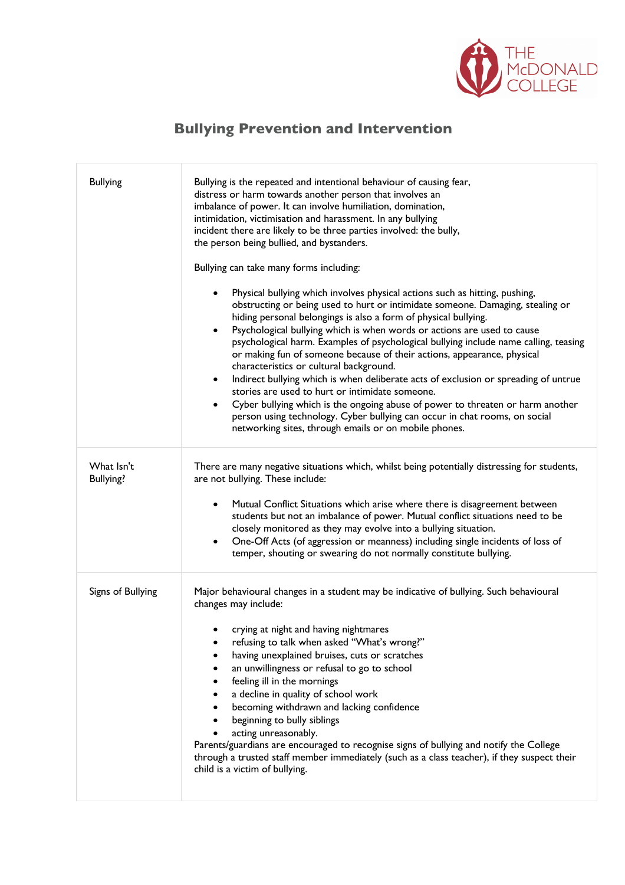

## **Bullying Prevention and Intervention**

| <b>Bullying</b>                | Bullying is the repeated and intentional behaviour of causing fear,<br>distress or harm towards another person that involves an<br>imbalance of power. It can involve humiliation, domination,<br>intimidation, victimisation and harassment. In any bullying<br>incident there are likely to be three parties involved: the bully,<br>the person being bullied, and bystanders.<br>Bullying can take many forms including:<br>Physical bullying which involves physical actions such as hitting, pushing,<br>obstructing or being used to hurt or intimidate someone. Damaging, stealing or<br>hiding personal belongings is also a form of physical bullying.<br>Psychological bullying which is when words or actions are used to cause<br>$\bullet$<br>psychological harm. Examples of psychological bullying include name calling, teasing<br>or making fun of someone because of their actions, appearance, physical<br>characteristics or cultural background.<br>Indirect bullying which is when deliberate acts of exclusion or spreading of untrue<br>$\bullet$<br>stories are used to hurt or intimidate someone.<br>Cyber bullying which is the ongoing abuse of power to threaten or harm another<br>$\bullet$<br>person using technology. Cyber bullying can occur in chat rooms, on social<br>networking sites, through emails or on mobile phones. |
|--------------------------------|--------------------------------------------------------------------------------------------------------------------------------------------------------------------------------------------------------------------------------------------------------------------------------------------------------------------------------------------------------------------------------------------------------------------------------------------------------------------------------------------------------------------------------------------------------------------------------------------------------------------------------------------------------------------------------------------------------------------------------------------------------------------------------------------------------------------------------------------------------------------------------------------------------------------------------------------------------------------------------------------------------------------------------------------------------------------------------------------------------------------------------------------------------------------------------------------------------------------------------------------------------------------------------------------------------------------------------------------------------------------|
| What Isn't<br><b>Bullying?</b> | There are many negative situations which, whilst being potentially distressing for students,<br>are not bullying. These include:<br>Mutual Conflict Situations which arise where there is disagreement between<br>٠<br>students but not an imbalance of power. Mutual conflict situations need to be<br>closely monitored as they may evolve into a bullying situation.<br>One-Off Acts (of aggression or meanness) including single incidents of loss of<br>$\bullet$<br>temper, shouting or swearing do not normally constitute bullying.                                                                                                                                                                                                                                                                                                                                                                                                                                                                                                                                                                                                                                                                                                                                                                                                                        |
| Signs of Bullying              | Major behavioural changes in a student may be indicative of bullying. Such behavioural<br>changes may include:<br>crying at night and having nightmares<br>refusing to talk when asked "What's wrong?"<br>having unexplained bruises, cuts or scratches<br>an unwillingness or refusal to go to school<br>feeling ill in the mornings<br>a decline in quality of school work<br>٠<br>becoming withdrawn and lacking confidence<br>beginning to bully siblings<br>acting unreasonably.<br>Parents/guardians are encouraged to recognise signs of bullying and notify the College<br>through a trusted staff member immediately (such as a class teacher), if they suspect their<br>child is a victim of bullying.                                                                                                                                                                                                                                                                                                                                                                                                                                                                                                                                                                                                                                                   |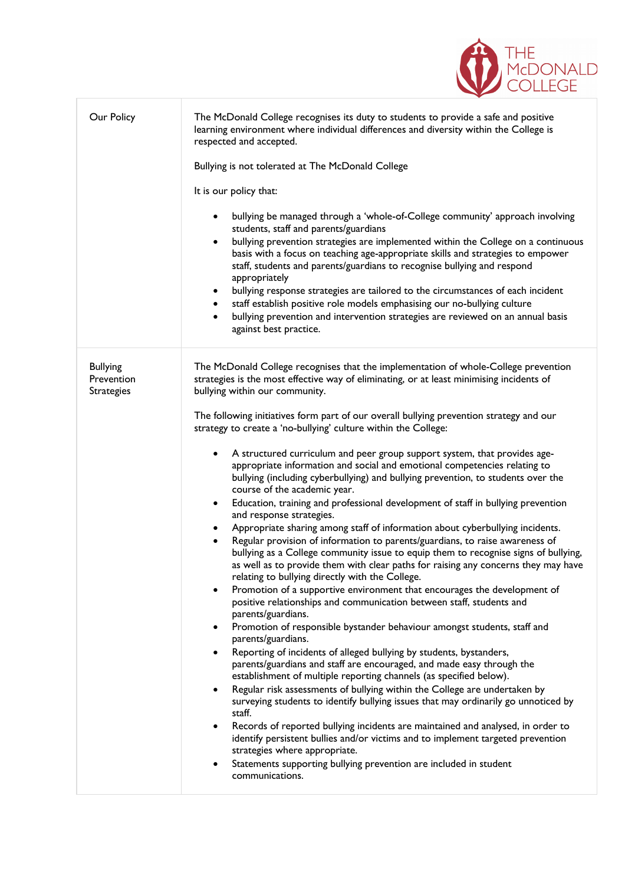| Our Policy                                         | The McDonald College recognises its duty to students to provide a safe and positive<br>learning environment where individual differences and diversity within the College is<br>respected and accepted.<br>Bullying is not tolerated at The McDonald College<br>It is our policy that:<br>bullying be managed through a 'whole-of-College community' approach involving<br>students, staff and parents/guardians<br>bullying prevention strategies are implemented within the College on a continuous<br>basis with a focus on teaching age-appropriate skills and strategies to empower<br>staff, students and parents/guardians to recognise bullying and respond<br>appropriately<br>bullying response strategies are tailored to the circumstances of each incident<br>$\bullet$<br>staff establish positive role models emphasising our no-bullying culture<br>bullying prevention and intervention strategies are reviewed on an annual basis<br>against best practice.                                                                                                                                                                                                                                                                                                                                                                                                                                                                                                                                                                                                                                                                                                                                                                                                                                                                                                                                                                                                                                                                                                                                                                                              |
|----------------------------------------------------|----------------------------------------------------------------------------------------------------------------------------------------------------------------------------------------------------------------------------------------------------------------------------------------------------------------------------------------------------------------------------------------------------------------------------------------------------------------------------------------------------------------------------------------------------------------------------------------------------------------------------------------------------------------------------------------------------------------------------------------------------------------------------------------------------------------------------------------------------------------------------------------------------------------------------------------------------------------------------------------------------------------------------------------------------------------------------------------------------------------------------------------------------------------------------------------------------------------------------------------------------------------------------------------------------------------------------------------------------------------------------------------------------------------------------------------------------------------------------------------------------------------------------------------------------------------------------------------------------------------------------------------------------------------------------------------------------------------------------------------------------------------------------------------------------------------------------------------------------------------------------------------------------------------------------------------------------------------------------------------------------------------------------------------------------------------------------------------------------------------------------------------------------------------------------|
| <b>Bullying</b><br>Prevention<br><b>Strategies</b> | The McDonald College recognises that the implementation of whole-College prevention<br>strategies is the most effective way of eliminating, or at least minimising incidents of<br>bullying within our community.<br>The following initiatives form part of our overall bullying prevention strategy and our<br>strategy to create a 'no-bullying' culture within the College:<br>A structured curriculum and peer group support system, that provides age-<br>٠<br>appropriate information and social and emotional competencies relating to<br>bullying (including cyberbullying) and bullying prevention, to students over the<br>course of the academic year.<br>Education, training and professional development of staff in bullying prevention<br>and response strategies.<br>Appropriate sharing among staff of information about cyberbullying incidents.<br>Regular provision of information to parents/guardians, to raise awareness of<br>bullying as a College community issue to equip them to recognise signs of bullying,<br>as well as to provide them with clear paths for raising any concerns they may have<br>relating to bullying directly with the College.<br>Promotion of a supportive environment that encourages the development of<br>٠<br>positive relationships and communication between staff, students and<br>parents/guardians.<br>Promotion of responsible bystander behaviour amongst students, staff and<br>parents/guardians.<br>Reporting of incidents of alleged bullying by students, bystanders,<br>parents/guardians and staff are encouraged, and made easy through the<br>establishment of multiple reporting channels (as specified below).<br>Regular risk assessments of bullying within the College are undertaken by<br>surveying students to identify bullying issues that may ordinarily go unnoticed by<br>staff.<br>Records of reported bullying incidents are maintained and analysed, in order to<br>٠<br>identify persistent bullies and/or victims and to implement targeted prevention<br>strategies where appropriate.<br>Statements supporting bullying prevention are included in student<br>communications. |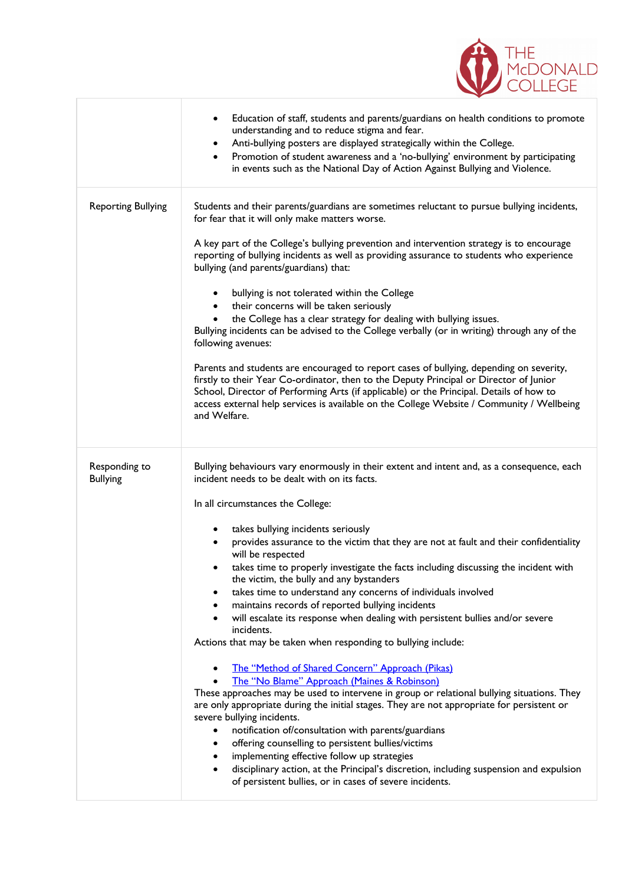

|                                  | Education of staff, students and parents/guardians on health conditions to promote<br>$\bullet$<br>understanding and to reduce stigma and fear.<br>Anti-bullying posters are displayed strategically within the College.<br>$\bullet$<br>Promotion of student awareness and a 'no-bullying' environment by participating<br>$\bullet$<br>in events such as the National Day of Action Against Bullying and Violence. |
|----------------------------------|----------------------------------------------------------------------------------------------------------------------------------------------------------------------------------------------------------------------------------------------------------------------------------------------------------------------------------------------------------------------------------------------------------------------|
| <b>Reporting Bullying</b>        | Students and their parents/guardians are sometimes reluctant to pursue bullying incidents,<br>for fear that it will only make matters worse.<br>A key part of the College's bullying prevention and intervention strategy is to encourage                                                                                                                                                                            |
|                                  | reporting of bullying incidents as well as providing assurance to students who experience<br>bullying (and parents/guardians) that:                                                                                                                                                                                                                                                                                  |
|                                  | bullying is not tolerated within the College<br>$\bullet$<br>their concerns will be taken seriously<br>$\bullet$                                                                                                                                                                                                                                                                                                     |
|                                  | the College has a clear strategy for dealing with bullying issues.<br>$\bullet$<br>Bullying incidents can be advised to the College verbally (or in writing) through any of the<br>following avenues:                                                                                                                                                                                                                |
|                                  | Parents and students are encouraged to report cases of bullying, depending on severity,<br>firstly to their Year Co-ordinator, then to the Deputy Principal or Director of Junior<br>School, Director of Performing Arts (if applicable) or the Principal. Details of how to<br>access external help services is available on the College Website / Community / Wellbeing<br>and Welfare.                            |
|                                  |                                                                                                                                                                                                                                                                                                                                                                                                                      |
| Responding to<br><b>Bullying</b> | Bullying behaviours vary enormously in their extent and intent and, as a consequence, each<br>incident needs to be dealt with on its facts.                                                                                                                                                                                                                                                                          |
|                                  | In all circumstances the College:                                                                                                                                                                                                                                                                                                                                                                                    |
|                                  | takes bullying incidents seriously<br>٠                                                                                                                                                                                                                                                                                                                                                                              |
|                                  | provides assurance to the victim that they are not at fault and their confidentiality<br>٠<br>will be respected                                                                                                                                                                                                                                                                                                      |
|                                  | takes time to properly investigate the facts including discussing the incident with                                                                                                                                                                                                                                                                                                                                  |
|                                  | the victim, the bully and any bystanders<br>takes time to understand any concerns of individuals involved                                                                                                                                                                                                                                                                                                            |
|                                  | maintains records of reported bullying incidents                                                                                                                                                                                                                                                                                                                                                                     |
|                                  | will escalate its response when dealing with persistent bullies and/or severe<br>incidents.                                                                                                                                                                                                                                                                                                                          |
|                                  | Actions that may be taken when responding to bullying include:                                                                                                                                                                                                                                                                                                                                                       |
|                                  | The "Method of Shared Concern" Approach (Pikas)                                                                                                                                                                                                                                                                                                                                                                      |
|                                  | The "No Blame" Approach (Maines & Robinson)                                                                                                                                                                                                                                                                                                                                                                          |
|                                  | These approaches may be used to intervene in group or relational bullying situations. They<br>are only appropriate during the initial stages. They are not appropriate for persistent or                                                                                                                                                                                                                             |
|                                  | severe bullying incidents.                                                                                                                                                                                                                                                                                                                                                                                           |
|                                  | notification of/consultation with parents/guardians<br>٠                                                                                                                                                                                                                                                                                                                                                             |
|                                  | offering counselling to persistent bullies/victims<br>implementing effective follow up strategies                                                                                                                                                                                                                                                                                                                    |